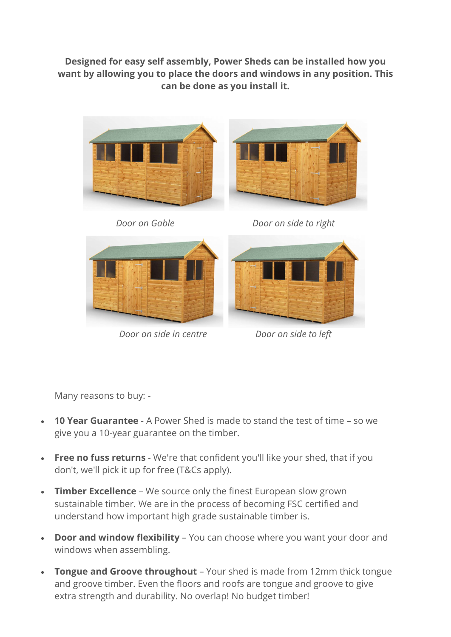## Designed for easy self assembly, Power Sheds can be installed how you want by allowing you to place the doors and windows in any position. This can be done as you install it.





Door on side in centre Door on side to left

Many reasons to buy: -

- 10 Year Guarantee A Power Shed is made to stand the test of time so we give you a 10-year guarantee on the timber.
- **Free no fuss returns** We're that confident you'll like your shed, that if you don't, we'll pick it up for free (T&Cs apply).
- Timber Excellence We source only the finest European slow grown sustainable timber. We are in the process of becoming FSC certified and understand how important high grade sustainable timber is.
- Door and window flexibility You can choose where you want your door and windows when assembling.
- Tongue and Groove throughout Your shed is made from 12mm thick tongue and groove timber. Even the floors and roofs are tongue and groove to give extra strength and durability. No overlap! No budget timber!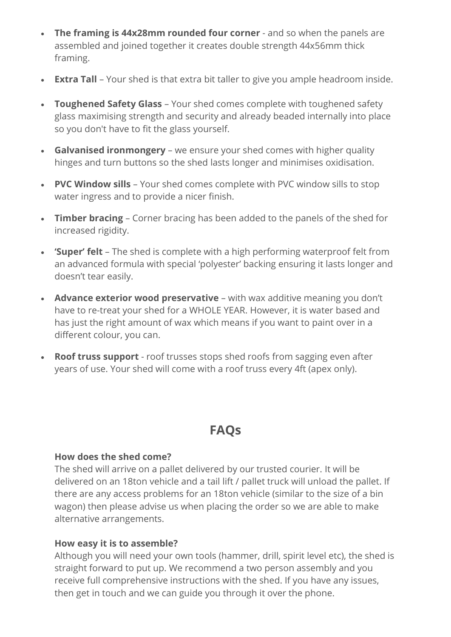- The framing is 44x28mm rounded four corner and so when the panels are assembled and joined together it creates double strength 44x56mm thick framing.
- Extra Tall Your shed is that extra bit taller to give you ample headroom inside.
- Toughened Safety Glass Your shed comes complete with toughened safety glass maximising strength and security and already beaded internally into place so you don't have to fit the glass yourself.
- Galvanised ironmongery we ensure your shed comes with higher quality hinges and turn buttons so the shed lasts longer and minimises oxidisation.
- PVC Window sills Your shed comes complete with PVC window sills to stop water ingress and to provide a nicer finish.
- Timber bracing Corner bracing has been added to the panels of the shed for increased rigidity.
- 'Super' felt The shed is complete with a high performing waterproof felt from an advanced formula with special 'polyester' backing ensuring it lasts longer and doesn't tear easily.
- Advance exterior wood preservative with wax additive meaning you don't have to re-treat your shed for a WHOLE YEAR. However, it is water based and has just the right amount of wax which means if you want to paint over in a different colour, you can.
- Roof truss support roof trusses stops shed roofs from sagging even after years of use. Your shed will come with a roof truss every 4ft (apex only).

# FAQs

### How does the shed come?

The shed will arrive on a pallet delivered by our trusted courier. It will be delivered on an 18ton vehicle and a tail lift / pallet truck will unload the pallet. If there are any access problems for an 18ton vehicle (similar to the size of a bin wagon) then please advise us when placing the order so we are able to make alternative arrangements.

## How easy it is to assemble?

Although you will need your own tools (hammer, drill, spirit level etc), the shed is straight forward to put up. We recommend a two person assembly and you receive full comprehensive instructions with the shed. If you have any issues, then get in touch and we can guide you through it over the phone.